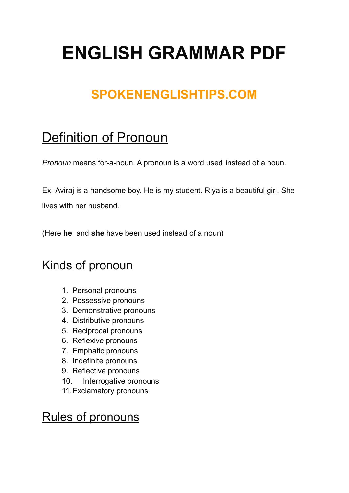# **ENGLISH GRAMMAR PDF**

## **SPOKENENGLISHTIPS.COM**

## Definition of Pronoun

*Pronoun* means for-a-noun. A pronoun is a word used instead of a noun.

Ex- Aviraj is a handsome boy. He is my student. Riya is a beautiful girl. She lives with her husband.

(Here **he** and **she** have been used instead of a noun)

### Kinds of pronoun

- 1. Personal pronouns
- 2. Possessive pronouns
- 3. Demonstrative pronouns
- 4. Distributive pronouns
- 5. Reciprocal pronouns
- 6. Reflexive pronouns
- 7. Emphatic pronouns
- 8. Indefinite pronouns
- 9. Reflective pronouns
- 10. Interrogative pronouns
- 11.Exclamatory pronouns

#### Rules of pronouns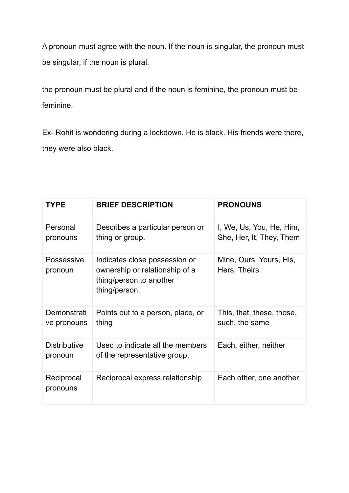A pronoun must agree with the noun. If the noun is singular, the pronoun must be singular, if the noun is plural.

the pronoun must be plural and if the noun is feminine, the pronoun must be feminine.

Ex- Rohit is wondering during a lockdown. He is black. His friends were there, they were also black.

| <b>TYPE</b>                    | <b>BRIEF DESCRIPTION</b>                                                                                    | <b>PRONOUNS</b>                                      |
|--------------------------------|-------------------------------------------------------------------------------------------------------------|------------------------------------------------------|
| Personal<br>pronouns           | Describes a particular person or<br>thing or group.                                                         | I, We, Us, You, He, Him,<br>She, Her, It, They, Them |
| Possessive<br>pronoun          | Indicates close possession or<br>ownership or relationship of a<br>thing/person to another<br>thing/person. | Mine, Ours, Yours, His,<br>Hers, Theirs              |
| Demonstrati<br>ve pronouns     | Points out to a person, place, or<br>thing                                                                  | This, that, these, those,<br>such, the same          |
| <b>Distributive</b><br>pronoun | Used to indicate all the members<br>of the representative group.                                            | Each, either, neither                                |
| Reciprocal<br>pronouns         | Reciprocal express relationship                                                                             | Each other, one another                              |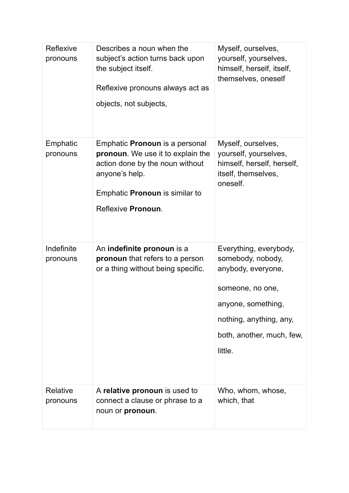| Reflexive<br>pronouns  | Describes a noun when the<br>subject's action turns back upon<br>the subject itself.<br>Reflexive pronouns always act as<br>objects, not subjects,                                             | Myself, ourselves,<br>yourself, yourselves,<br>himself, herself, itself,<br>themselves, oneself                                                                                |
|------------------------|------------------------------------------------------------------------------------------------------------------------------------------------------------------------------------------------|--------------------------------------------------------------------------------------------------------------------------------------------------------------------------------|
| Emphatic<br>pronouns   | Emphatic <b>Pronoun</b> is a personal<br>pronoun. We use it to explain the<br>action done by the noun without<br>anyone's help.<br>Emphatic <b>Pronoun</b> is similar to<br>Reflexive Pronoun. | Myself, ourselves,<br>yourself, yourselves,<br>himself, herself, herself,<br>itself, themselves,<br>oneself.                                                                   |
| Indefinite<br>pronouns | An indefinite pronoun is a<br>pronoun that refers to a person<br>or a thing without being specific.                                                                                            | Everything, everybody,<br>somebody, nobody,<br>anybody, everyone,<br>someone, no one,<br>anyone, something,<br>nothing, anything, any,<br>both, another, much, few,<br>little. |
| Relative<br>pronouns   | A relative pronoun is used to<br>connect a clause or phrase to a<br>noun or pronoun.                                                                                                           | Who, whom, whose,<br>which, that                                                                                                                                               |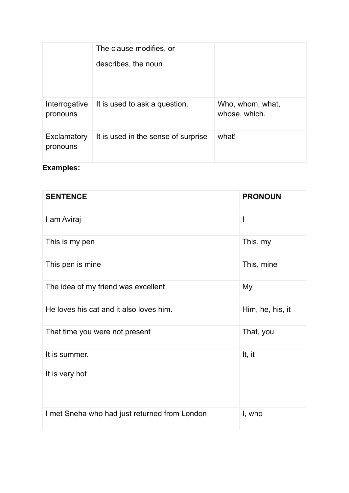|                           | The clause modifies, or             |                                   |
|---------------------------|-------------------------------------|-----------------------------------|
|                           | describes, the noun                 |                                   |
|                           |                                     |                                   |
|                           |                                     |                                   |
| Interrogative<br>pronouns | It is used to ask a question.       | Who, whom, what,<br>whose, which. |
| Exclamatory<br>pronouns   | It is used in the sense of surprise | what!                             |
| <b>Examples:</b>          |                                     |                                   |

| <b>SENTENCE</b>                               | <b>PRONOUN</b>   |
|-----------------------------------------------|------------------|
| I am Aviraj                                   | I                |
| This is my pen                                | This, my         |
| This pen is mine                              | This, mine       |
| The idea of my friend was excellent           | My               |
| He loves his cat and it also loves him.       | Him, he, his, it |
| That time you were not present                | That, you        |
| It is summer.                                 | It, it           |
| It is very hot                                |                  |
| I met Sneha who had just returned from London | I, who           |